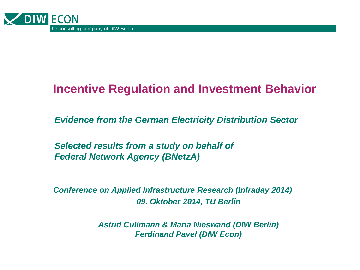

#### **Incentive Regulation and Investment Behavior**

*Evidence from the German Electricity Distribution Sector*

*Selected results from a study on behalf of Federal Network Agency (BNetzA)*

*Conference on Applied Infrastructure Research (Infraday 2014) 09. Oktober 2014, TU Berlin*

> *Astrid Cullmann & Maria Nieswand (DIW Berlin) Ferdinand Pavel (DIW Econ)*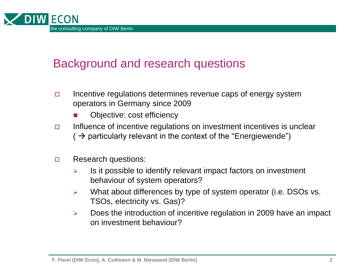

#### Background and research questions

- $\Box$  Incentive regulations determines revenue caps of energy system operators in Germany since 2009
	- Objective: cost efficiency
- $\Box$  Influence of incentive regulations on investment incentives is unclear  $($   $\rightarrow$  particularly relevant in the context of the "Energiewende")
- Research questions:
	- $\triangleright$  Is it possible to identify relevant impact factors on investment behaviour of system operators?
	- $\triangleright$  What about differences by type of system operator (i.e. DSOs vs. TSOs, electricity vs. Gas)?
	- $\triangleright$  Does the introduction of incentive regulation in 2009 have an impact on investment behaviour?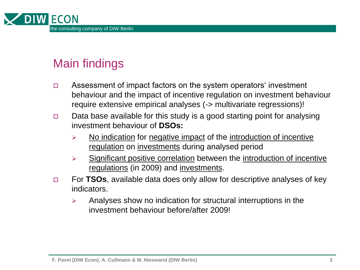

### Main findings

- Assessment of impact factors on the system operators' investment behaviour and the impact of incentive regulation on investment behaviour require extensive empirical analyses (-> multivariate regressions)!
- $\Box$  Data base available for this study is a good starting point for analysing investment behaviour of **DSOs:**
	- $\triangleright$  No indication for negative impact of the introduction of incentive regulation on investments during analysed period
	- $\triangleright$  Significant positive correlation between the introduction of incentive regulations (in 2009) and investments.
- For **TSOs**, available data does only allow for descriptive analyses of key indicators.
	- $\triangleright$  Analyses show no indication for structural interruptions in the investment behaviour before/after 2009!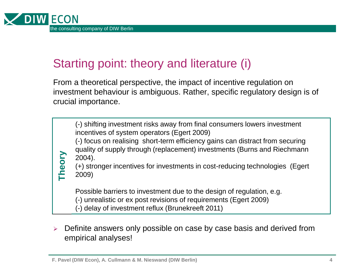

**Theory**

#### Starting point: theory and literature (i)

From a theoretical perspective, the impact of incentive regulation on investment behaviour is ambiguous. Rather, specific regulatory design is of crucial importance.

(-) shifting investment risks away from final consumers lowers investment incentives of system operators (Egert 2009)

(-) focus on realising short-term efficiency gains can distract from securing quality of supply through (replacement) investments (Burns and Riechmann 2004).

(+) stronger incentives for investments in cost-reducing technologies (Egert 2009)

Possible barriers to investment due to the design of regulation, e.g.

(-) unrealistic or ex post revisions of requirements (Egert 2009)

(-) delay of investment reflux (Brunekreeft 2011)

 $\triangleright$  Definite answers only possible on case by case basis and derived from empirical analyses!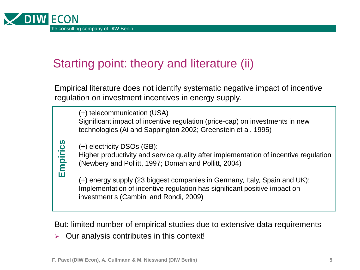

# Starting point: theory and literature (ii)

Empirical literature does not identify systematic negative impact of incentive regulation on investment incentives in energy supply.

(+) telecommunication (USA) Significant impact of incentive regulation (price-cap) on investments in new technologies (Ai and Sappington 2002; Greenstein et al. 1995)

(+) electricity DSOs (GB):

Higher productivity and service quality after implementation of incentive regulation (Newbery and Pollitt, 1997; Domah and Pollitt, 2004)

(+) electricity DSOs (GB):<br>
Higher productivity and service quality after<br>
(Newbery and Pollitt, 1997; Domah and P<br>
(+) energy supply (23 biggest companies<br>
Implementation of incentive regulation has<br>
investment s (Cambini (+) energy supply (23 biggest companies in Germany, Italy, Spain and UK): Implementation of incentive regulation has significant positive impact on investment s (Cambini and Rondi, 2009)

But: limited number of empirical studies due to extensive data requirements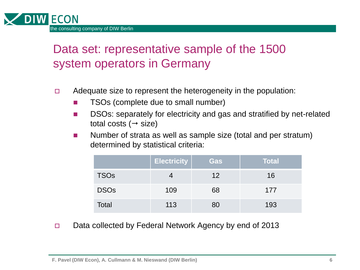

### Data set: representative sample of the 1500 system operators in Germany

- $\Box$  Adequate size to represent the heterogeneity in the population:
	- TSOs (complete due to small number)
	- **DIM** DSOs: separately for electricity and gas and stratified by net-related total costs ( $\rightarrow$  size)
	- Number of strata as well as sample size (total and per stratum) determined by statistical criteria:

|              | <b>Electricity</b> | Gas | <b>Total</b> |
|--------------|--------------------|-----|--------------|
| <b>TSOs</b>  |                    | 12  | 16           |
| <b>DSOs</b>  | 109                | 68  | 177          |
| <b>Total</b> | 113                | 80  | 193          |

□ Data collected by Federal Network Agency by end of 2013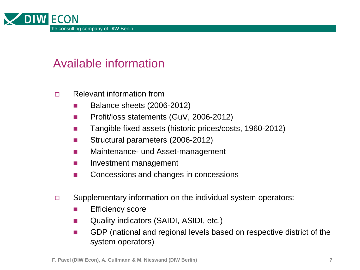

#### Available information

- Relevant information from
	- **Balance sheets (2006-2012)**
	- **Profit/loss statements (GuV, 2006-2012)**
	- Tangible fixed assets (historic prices/costs, 1960-2012)
	- Structural parameters (2006-2012)
	- **Naintenance- und Asset-management**
	- **If** Investment management
	- Concessions and changes in concessions
- □ Supplementary information on the individual system operators:
	- **E** Efficiency score
	- Quality indicators (SAIDI, ASIDI, etc.)
	- GDP (national and regional levels based on respective district of the system operators)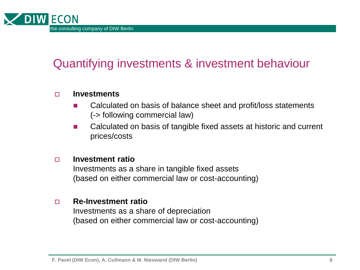

### Quantifying investments & investment behaviour

#### **Investments**

- Calculated on basis of balance sheet and profit/loss statements (-> following commercial law)
- Calculated on basis of tangible fixed assets at historic and current prices/costs

#### **Investment ratio**

Investments as a share in tangible fixed assets (based on either commercial law or cost-accounting)

#### **Re-Investment ratio**

Investments as a share of depreciation (based on either commercial law or cost-accounting)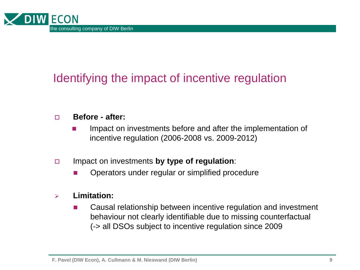

### Identifying the impact of incentive regulation

#### **Before - after:**

- **If all impact on investments before and after the implementation of** incentive regulation (2006-2008 vs. 2009-2012)
- Impact on investments **by type of regulation**:
	- Operators under regular or simplified procedure

#### **Limitation:**

■ Causal relationship between incentive regulation and investment behaviour not clearly identifiable due to missing counterfactual (-> all DSOs subject to incentive regulation since 2009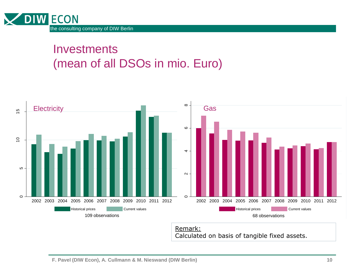

**Investments** (mean of all DSOs in mio. Euro)



Remark:

Calculated on basis of tangible fixed assets.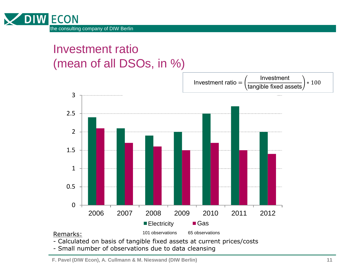

#### Investment ratio (mean of all DSOs, in %)



- Small number of observations due to data cleansing

**F. Pavel (DIW Econ), A. Cullmann & M. Nieswand (DIW Berlin)**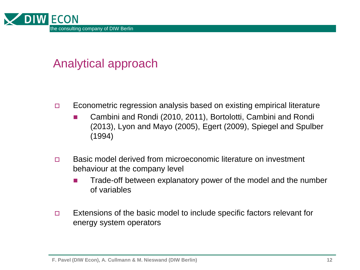

#### Analytical approach

- Econometric regression analysis based on existing empirical literature
	- Cambini and Rondi (2010, 2011), Bortolotti, Cambini and Rondi (2013), Lyon and Mayo (2005), Egert (2009), Spiegel and Spulber (1994)
- □ Basic model derived from microeconomic literature on investment behaviour at the company level
	- **Trade-off between explanatory power of the model and the number** of variables
- $\Box$  Extensions of the basic model to include specific factors relevant for energy system operators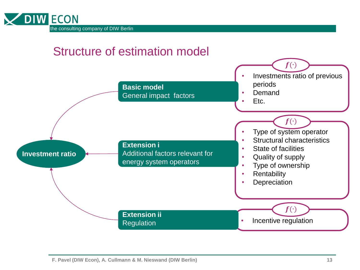

#### Structure of estimation model

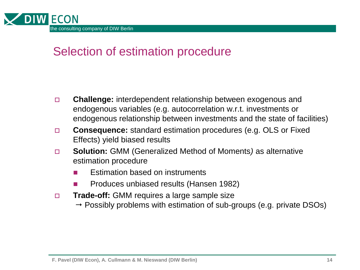

#### Selection of estimation procedure

- **Challenge:** interdependent relationship between exogenous and endogenous variables (e.g. autocorrelation w.r.t. investments or endogenous relationship between investments and the state of facilities)
- **Consequence:** standard estimation procedures (e.g. OLS or Fixed Effects) yield biased results
- **Solution:** GMM (Generalized Method of Moments*)* as alternative estimation procedure
	- Estimation based on instruments
	- Produces unbiased results (Hansen 1982)
- **Trade-off:** GMM requires a large sample size
	- $\rightarrow$  Possibly problems with estimation of sub-groups (e.g. private DSOs)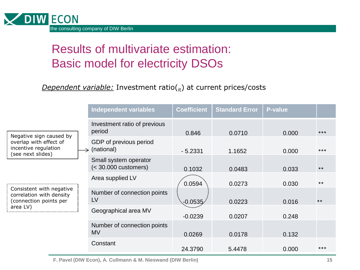

# Results of multivariate estimation: Basic model for electricity DSOs

#### *Dependent variable:* Investment ratio(<sub>it</sub>) at current prices/costs

|                                                                                                                                                                                              | <b>Independent variables</b>                  | <b>Coefficient</b> | <b>Standard Error</b> | <b>P-value</b> |       |
|----------------------------------------------------------------------------------------------------------------------------------------------------------------------------------------------|-----------------------------------------------|--------------------|-----------------------|----------------|-------|
| Negative sign caused by<br>overlap with effect of<br>incentive regulation<br>(see next slides)<br>Consistent with negative<br>correlation with density<br>(connection points per<br>area LV) | Investment ratio of previous<br>period        | 0.846              | 0.0710                | 0.000          | ***   |
|                                                                                                                                                                                              | GDP of previous period<br>$\geq$ (national)   | $-5.2331$          | 1.1652                | 0.000          | ***   |
|                                                                                                                                                                                              | Small system operator<br>$(30.000 customers)$ | 0.1032             | 0.0483                | 0.033          | $***$ |
|                                                                                                                                                                                              | Area supplied LV                              | 0.0594             | 0.0273                | 0.030          | $***$ |
|                                                                                                                                                                                              | Number of connection points<br><b>LV</b>      | $-0.0535$          | 0.0223                | 0.016          | $***$ |
|                                                                                                                                                                                              | Geographical area MV                          | $-0.0239$          | 0.0207                | 0.248          |       |
|                                                                                                                                                                                              | Number of connection points<br><b>MV</b>      | 0.0269             | 0.0178                | 0.132          |       |
|                                                                                                                                                                                              | Constant                                      | 24.3790            | 5.4478                | 0.000          | ***   |

**F. Pavel (DIW Econ), A. Cullmann & M. Nieswand (DIW Berlin)**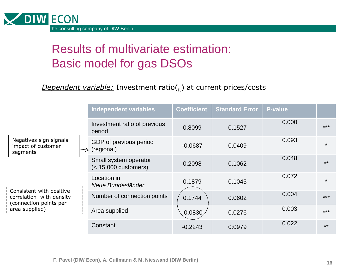

# Results of multivariate estimation: Basic model for gas DSOs

#### *Dependent variable:* Investment ratio(it) at current prices/costs

|                                                                                                                                                              | <b>Independent variables</b>                    | <b>Coefficient</b> | <b>Standard Error</b> | <b>P-value</b> |         |
|--------------------------------------------------------------------------------------------------------------------------------------------------------------|-------------------------------------------------|--------------------|-----------------------|----------------|---------|
| Negatives sign signals<br>impact of customer<br>segments<br>Consistent with positive<br>correlation with density<br>(connection points per<br>area supplied) | Investment ratio of previous<br>period          | 0.8099             | 0.1527                | 0.000          | $***$   |
|                                                                                                                                                              | GDP of previous period<br>(regional)            | $-0.0687$          | 0.0409                | 0.093          | $\star$ |
|                                                                                                                                                              | Small system operator<br>$(< 15.000$ customers) | 0.2098             | 0.1062                | 0.048          | $**$    |
|                                                                                                                                                              | Location in<br>Neue Bundesländer                | 0.1879             | 0.1045                | 0.072          | $\star$ |
|                                                                                                                                                              | Number of connection points                     | 0.1744             | 0.0602                | 0.004          | $***$   |
|                                                                                                                                                              | Area supplied                                   | $-0.0830$          | 0.0276                | 0.003          | $***$   |
|                                                                                                                                                              | Constant                                        | $-0.2243$          | 0:0979                | 0.022          | $**$    |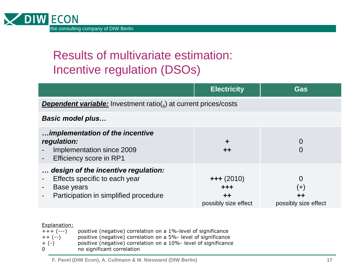

# Results of multivariate estimation: Incentive regulation (DSOs)

|                                                                                                                                    | <b>Electricity</b>                                  | Gas                                 |  |  |
|------------------------------------------------------------------------------------------------------------------------------------|-----------------------------------------------------|-------------------------------------|--|--|
| <b>Dependent variable:</b> Investment ratio( $_{\text{it}}$ ) at current prices/costs                                              |                                                     |                                     |  |  |
| <b>Basic model plus</b>                                                                                                            |                                                     |                                     |  |  |
| implementation of the incentive<br>regulation:<br>Implementation since 2009<br>Efficiency score in RP1<br>$\overline{\phantom{a}}$ | $\div$<br>$+ +$                                     |                                     |  |  |
| design of the incentive regulation:<br>Effects specific to each year<br>Base years<br>Participation in simplified procedure        | $+++(2010)$<br>+++<br>$+ +$<br>possibly size effect | $(+)$<br>++<br>possibly size effect |  |  |

#### Explanation:

| $+++ (---)$ | positive (negative) correlation on a 1%-level of significance   |
|-------------|-----------------------------------------------------------------|
| $++(-)$     | positive (negative) correlation on a 5%- level of significance  |
| $+$ (-)     | positive (negative) correlation on a 10%- level of significance |
| 0           | no significant correlation                                      |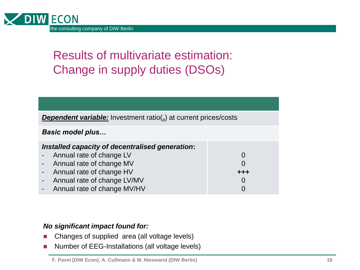

# Results of multivariate estimation: Change in supply duties (DSOs)

| <b>Dependent variable:</b> Investment ratio( $_{\text{it}}$ ) at current prices/costs |     |  |
|---------------------------------------------------------------------------------------|-----|--|
| <b>Basic model plus</b>                                                               |     |  |
| Installed capacity of decentralised generation:                                       |     |  |
| Annual rate of change LV                                                              |     |  |
| Annual rate of change MV                                                              |     |  |
| Annual rate of change HV                                                              | +++ |  |
| Annual rate of change LV/MV                                                           |     |  |
| Annual rate of change MV/HV                                                           |     |  |

#### *No significant impact found for:*

- Changes of supplied area (all voltage levels)
- Number of EEG-Installations (all voltage levels)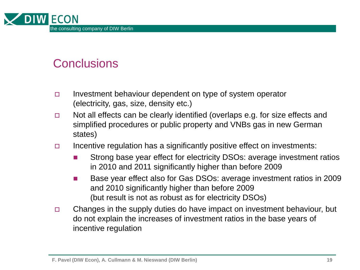

#### **Conclusions**

- Investment behaviour dependent on type of system operator (electricity, gas, size, density etc.)
- $\Box$  Not all effects can be clearly identified (overlaps e.g. for size effects and simplified procedures or public property and VNBs gas in new German states)
- Incentive regulation has a significantly positive effect on investments:
	- Strong base year effect for electricity DSOs: average investment ratios in 2010 and 2011 significantly higher than before 2009
	- Base year effect also for Gas DSOs: average investment ratios in 2009 and 2010 significantly higher than before 2009 (but result is not as robust as for electricity DSOs)
- $\Box$  Changes in the supply duties do have impact on investment behaviour, but do not explain the increases of investment ratios in the base years of incentive regulation